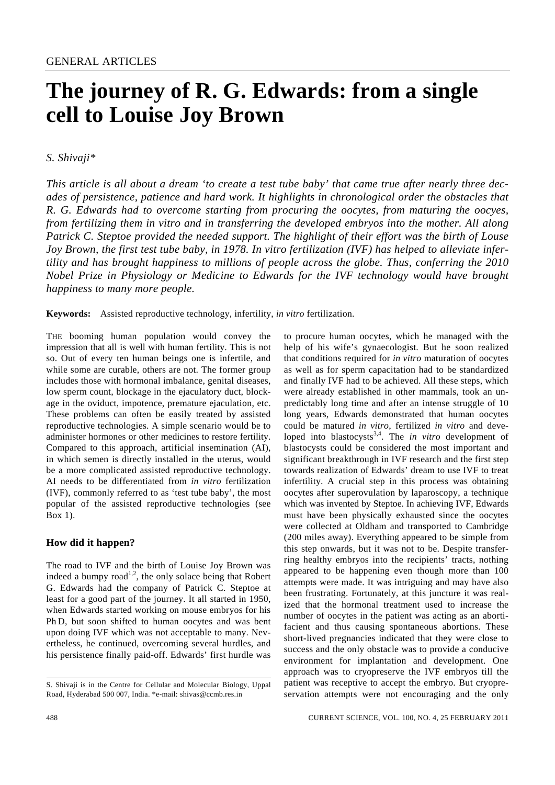# **The journey of R. G. Edwards: from a single cell to Louise Joy Brown**

# *S. Shivaji\**

*This article is all about a dream 'to create a test tube baby' that came true after nearly three decades of persistence, patience and hard work. It highlights in chronological order the obstacles that R. G. Edwards had to overcome starting from procuring the oocytes, from maturing the oocyes, from fertilizing them in vitro and in transferring the developed embryos into the mother. All along Patrick C. Steptoe provided the needed support. The highlight of their effort was the birth of Louse Joy Brown, the first test tube baby, in 1978. In vitro fertilization (IVF) has helped to alleviate infertility and has brought happiness to millions of people across the globe. Thus, conferring the 2010 Nobel Prize in Physiology or Medicine to Edwards for the IVF technology would have brought happiness to many more people.* 

**Keywords:** Assisted reproductive technology, infertility, *in vitro* fertilization.

THE booming human population would convey the impression that all is well with human fertility. This is not so. Out of every ten human beings one is infertile, and while some are curable, others are not. The former group includes those with hormonal imbalance, genital diseases, low sperm count, blockage in the ejaculatory duct, blockage in the oviduct, impotence, premature ejaculation, etc. These problems can often be easily treated by assisted reproductive technologies. A simple scenario would be to administer hormones or other medicines to restore fertility. Compared to this approach, artificial insemination (AI), in which semen is directly installed in the uterus, would be a more complicated assisted reproductive technology. AI needs to be differentiated from *in vitro* fertilization (IVF), commonly referred to as 'test tube baby', the most popular of the assisted reproductive technologies (see Box 1).

# **How did it happen?**

The road to IVF and the birth of Louise Joy Brown was indeed a bumpy road<sup>1,2</sup>, the only solace being that Robert G. Edwards had the company of Patrick C. Steptoe at least for a good part of the journey. It all started in 1950, when Edwards started working on mouse embryos for his Ph D, but soon shifted to human oocytes and was bent upon doing IVF which was not acceptable to many. Nevertheless, he continued, overcoming several hurdles, and his persistence finally paid-off. Edwards' first hurdle was to procure human oocytes, which he managed with the help of his wife's gynaecologist. But he soon realized that conditions required for *in vitro* maturation of oocytes as well as for sperm capacitation had to be standardized and finally IVF had to be achieved. All these steps, which were already established in other mammals, took an unpredictably long time and after an intense struggle of 10 long years, Edwards demonstrated that human oocytes could be matured *in vitro*, fertilized *in vitro* and developed into blastocysts<sup>3,4</sup>. The *in vitro* development of blastocysts could be considered the most important and significant breakthrough in IVF research and the first step towards realization of Edwards' dream to use IVF to treat infertility. A crucial step in this process was obtaining oocytes after superovulation by laparoscopy, a technique which was invented by Steptoe. In achieving IVF, Edwards must have been physically exhausted since the oocytes were collected at Oldham and transported to Cambridge (200 miles away). Everything appeared to be simple from this step onwards, but it was not to be. Despite transferring healthy embryos into the recipients' tracts, nothing appeared to be happening even though more than 100 attempts were made. It was intriguing and may have also been frustrating. Fortunately, at this juncture it was realized that the hormonal treatment used to increase the number of oocytes in the patient was acting as an abortifacient and thus causing spontaneous abortions. These short-lived pregnancies indicated that they were close to success and the only obstacle was to provide a conducive environment for implantation and development. One approach was to cryopreserve the IVF embryos till the patient was receptive to accept the embryo. But cryopreservation attempts were not encouraging and the only

S. Shivaji is in the Centre for Cellular and Molecular Biology, Uppal Road, Hyderabad 500 007, India. \*e-mail: shivas@ccmb.res.in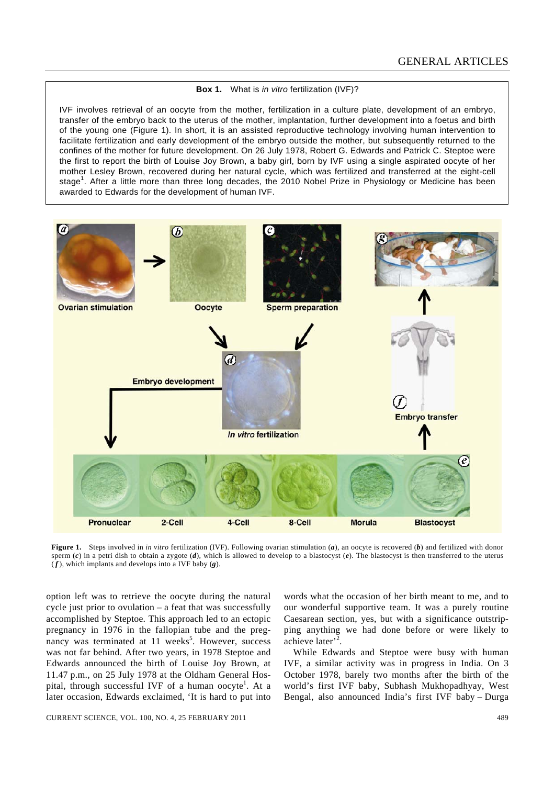#### **Box 1.** What is *in vitro* fertilization (IVF)?

IVF involves retrieval of an oocyte from the mother, fertilization in a culture plate, development of an embryo, transfer of the embryo back to the uterus of the mother, implantation, further development into a foetus and birth of the young one (Figure 1). In short, it is an assisted reproductive technology involving human intervention to facilitate fertilization and early development of the embryo outside the mother, but subsequently returned to the confines of the mother for future development. On 26 July 1978, Robert G. Edwards and Patrick C. Steptoe were the first to report the birth of Louise Joy Brown, a baby girl, born by IVF using a single aspirated oocyte of her mother Lesley Brown, recovered during her natural cycle, which was fertilized and transferred at the eight-cell stage<sup>1</sup>. After a little more than three long decades, the 2010 Nobel Prize in Physiology or Medicine has been awarded to Edwards for the development of human IVF.



**Figure 1.** Steps involved in *in vitro* fertilization (IVF). Following ovarian stimulation (*a*), an oocyte is recovered (*b*) and fertilized with donor sperm  $(c)$  in a petri dish to obtain a zygote  $(d)$ , which is allowed to develop to a blastocyst  $(e)$ . The blastocyst is then transferred to the uterus ( *f* ), which implants and develops into a IVF baby (*g*).

option left was to retrieve the oocyte during the natural cycle just prior to ovulation – a feat that was successfully accomplished by Steptoe. This approach led to an ectopic pregnancy in 1976 in the fallopian tube and the pregnancy was terminated at 11 weeks<sup>5</sup>. However, success was not far behind. After two years, in 1978 Steptoe and Edwards announced the birth of Louise Joy Brown, at 11.47 p.m., on 25 July 1978 at the Oldham General Hospital, through successful IVF of a human oocyte<sup>1</sup>. At a later occasion, Edwards exclaimed, 'It is hard to put into

words what the occasion of her birth meant to me, and to our wonderful supportive team. It was a purely routine Caesarean section, yes, but with a significance outstripping anything we had done before or were likely to achieve later<sup>'2</sup>.

 While Edwards and Steptoe were busy with human IVF, a similar activity was in progress in India. On 3 October 1978, barely two months after the birth of the world's first IVF baby, Subhash Mukhopadhyay, West Bengal, also announced India's first IVF baby – Durga